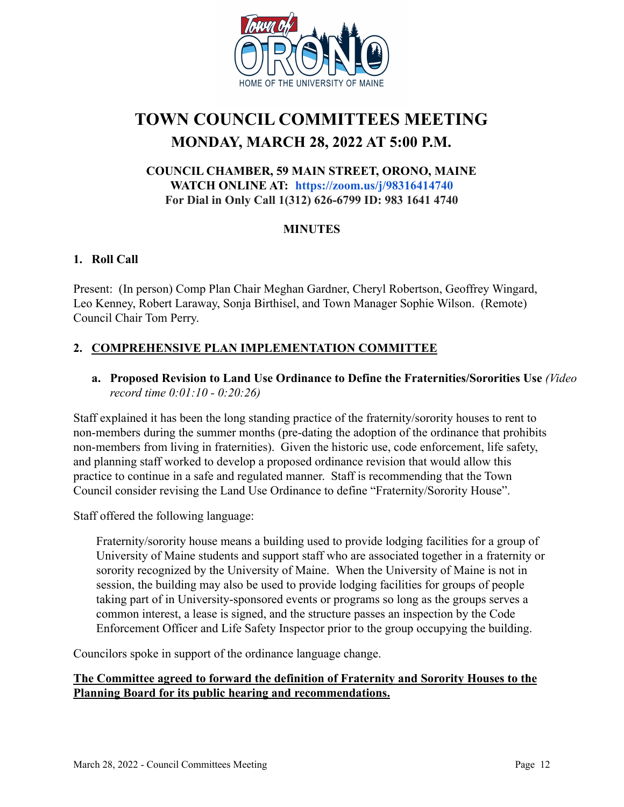

# **TOWN COUNCIL COMMITTEES MEETING MONDAY, MARCH 28, 2022 AT 5:00 P.M.**

## **COUNCIL CHAMBER, 59 MAIN STREET, ORONO, MAINE WATCH ONLINE AT: <https://zoom.us/j/98316414740> For Dial in Only Call 1(312) 626-6799 ID: 983 1641 4740**

## **MINUTES**

## **1. Roll Call**

Present: (In person) Comp Plan Chair Meghan Gardner, Cheryl Robertson, Geoffrey Wingard, Leo Kenney, Robert Laraway, Sonja Birthisel, and Town Manager Sophie Wilson. (Remote) Council Chair Tom Perry.

# **2. COMPREHENSIVE PLAN IMPLEMENTATION COMMITTEE**

## **a. Proposed Revision to Land Use Ordinance to Define the Fraternities/Sororities Use** *(Video record time 0:01:10 - 0:20:26)*

Staff explained it has been the long standing practice of the fraternity/sorority houses to rent to non-members during the summer months (pre-dating the adoption of the ordinance that prohibits non-members from living in fraternities). Given the historic use, code enforcement, life safety, and planning staff worked to develop a proposed ordinance revision that would allow this practice to continue in a safe and regulated manner. Staff is recommending that the Town Council consider revising the Land Use Ordinance to define "Fraternity/Sorority House".

Staff offered the following language:

Fraternity/sorority house means a building used to provide lodging facilities for a group of University of Maine students and support staff who are associated together in a fraternity or sorority recognized by the University of Maine. When the University of Maine is not in session, the building may also be used to provide lodging facilities for groups of people taking part of in University-sponsored events or programs so long as the groups serves a common interest, a lease is signed, and the structure passes an inspection by the Code Enforcement Officer and Life Safety Inspector prior to the group occupying the building.

Councilors spoke in support of the ordinance language change.

### **The Committee agreed to forward the definition of Fraternity and Sorority Houses to the Planning Board for its public hearing and recommendations.**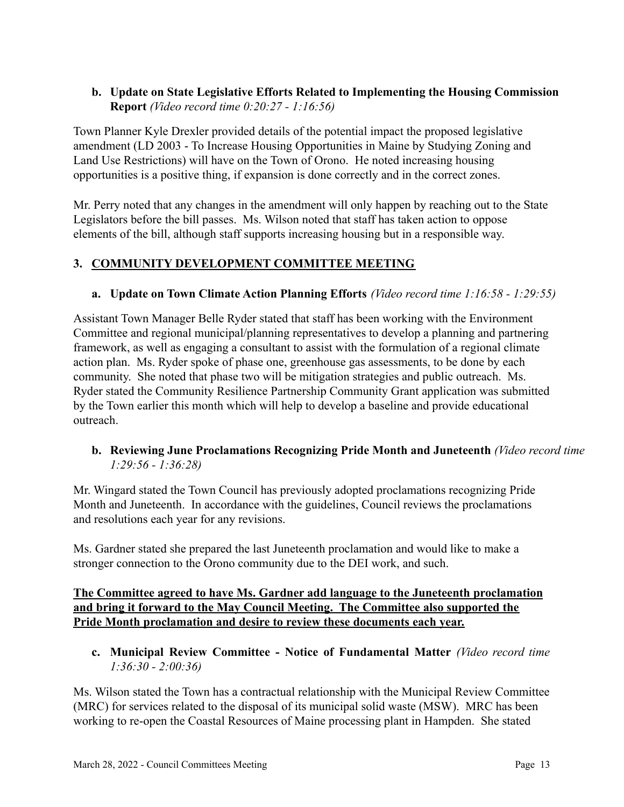## **b. Update on State Legislative Efforts Related to Implementing the Housing Commission Report** *(Video record time 0:20:27 - 1:16:56)*

Town Planner Kyle Drexler provided details of the potential impact the proposed legislative amendment (LD 2003 - To Increase Housing Opportunities in Maine by Studying Zoning and Land Use Restrictions) will have on the Town of Orono. He noted increasing housing opportunities is a positive thing, if expansion is done correctly and in the correct zones.

Mr. Perry noted that any changes in the amendment will only happen by reaching out to the State Legislators before the bill passes. Ms. Wilson noted that staff has taken action to oppose elements of the bill, although staff supports increasing housing but in a responsible way.

# **3. COMMUNITY DEVELOPMENT COMMITTEE MEETING**

## **a. Update on Town Climate Action Planning Efforts** *(Video record time 1:16:58 - 1:29:55)*

Assistant Town Manager Belle Ryder stated that staff has been working with the Environment Committee and regional municipal/planning representatives to develop a planning and partnering framework, as well as engaging a consultant to assist with the formulation of a regional climate action plan. Ms. Ryder spoke of phase one, greenhouse gas assessments, to be done by each community. She noted that phase two will be mitigation strategies and public outreach. Ms. Ryder stated the Community Resilience Partnership Community Grant application was submitted by the Town earlier this month which will help to develop a baseline and provide educational outreach.

### **b. Reviewing June Proclamations Recognizing Pride Month and Juneteenth** *(Video record time 1:29:56 - 1:36:28)*

Mr. Wingard stated the Town Council has previously adopted proclamations recognizing Pride Month and Juneteenth. In accordance with the guidelines, Council reviews the proclamations and resolutions each year for any revisions.

Ms. Gardner stated she prepared the last Juneteenth proclamation and would like to make a stronger connection to the Orono community due to the DEI work, and such.

### **The Committee agreed to have Ms. Gardner add language to the Juneteenth proclamation and bring it forward to the May Council Meeting. The Committee also supported the Pride Month proclamation and desire to review these documents each year.**

**c. Municipal Review Committee - Notice of Fundamental Matter** *(Video record time 1:36:30 - 2:00:36)*

Ms. Wilson stated the Town has a contractual relationship with the Municipal Review Committee (MRC) for services related to the disposal of its municipal solid waste (MSW). MRC has been working to re-open the Coastal Resources of Maine processing plant in Hampden. She stated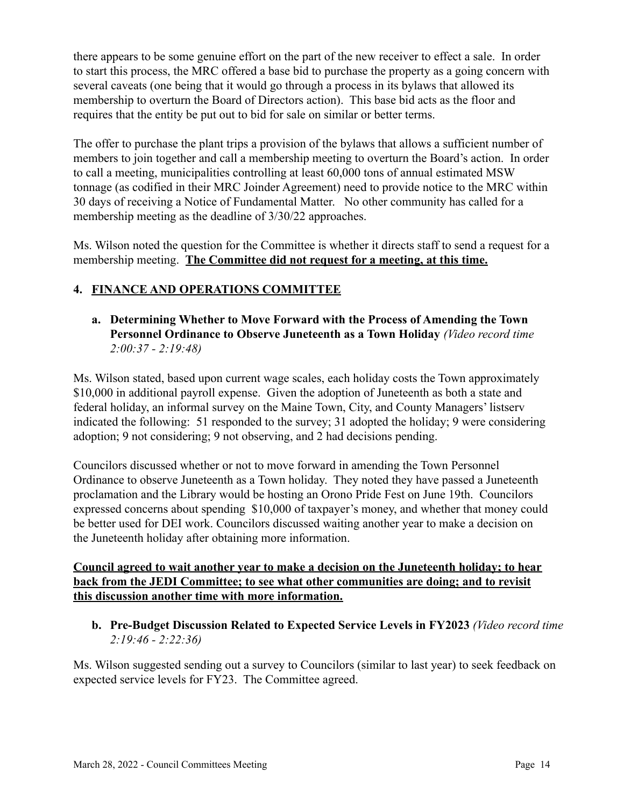there appears to be some genuine effort on the part of the new receiver to effect a sale. In order to start this process, the MRC offered a base bid to purchase the property as a going concern with several caveats (one being that it would go through a process in its bylaws that allowed its membership to overturn the Board of Directors action). This base bid acts as the floor and requires that the entity be put out to bid for sale on similar or better terms.

The offer to purchase the plant trips a provision of the bylaws that allows a sufficient number of members to join together and call a membership meeting to overturn the Board's action. In order to call a meeting, municipalities controlling at least 60,000 tons of annual estimated MSW tonnage (as codified in their MRC Joinder Agreement) need to provide notice to the MRC within 30 days of receiving a Notice of Fundamental Matter. No other community has called for a membership meeting as the deadline of 3/30/22 approaches.

Ms. Wilson noted the question for the Committee is whether it directs staff to send a request for a membership meeting. **The Committee did not request for a meeting, at this time.**

# **4. FINANCE AND OPERATIONS COMMITTEE**

**a. Determining Whether to Move Forward with the Process of Amending the Town Personnel Ordinance to Observe Juneteenth as a Town Holiday** *(Video record time 2:00:37 - 2:19:48)*

Ms. Wilson stated, based upon current wage scales, each holiday costs the Town approximately \$10,000 in additional payroll expense. Given the adoption of Juneteenth as both a state and federal holiday, an informal survey on the Maine Town, City, and County Managers' listserv indicated the following: 51 responded to the survey; 31 adopted the holiday; 9 were considering adoption; 9 not considering; 9 not observing, and 2 had decisions pending.

Councilors discussed whether or not to move forward in amending the Town Personnel Ordinance to observe Juneteenth as a Town holiday. They noted they have passed a Juneteenth proclamation and the Library would be hosting an Orono Pride Fest on June 19th. Councilors expressed concerns about spending \$10,000 of taxpayer's money, and whether that money could be better used for DEI work. Councilors discussed waiting another year to make a decision on the Juneteenth holiday after obtaining more information.

## **Council agreed to wait another year to make a decision on the Juneteenth holiday; to hear back from the JEDI Committee; to see what other communities are doing; and to revisit this discussion another time with more information.**

**b. Pre-Budget Discussion Related to Expected Service Levels in FY2023** *(Video record time 2:19:46 - 2:22:36)*

Ms. Wilson suggested sending out a survey to Councilors (similar to last year) to seek feedback on expected service levels for FY23. The Committee agreed.